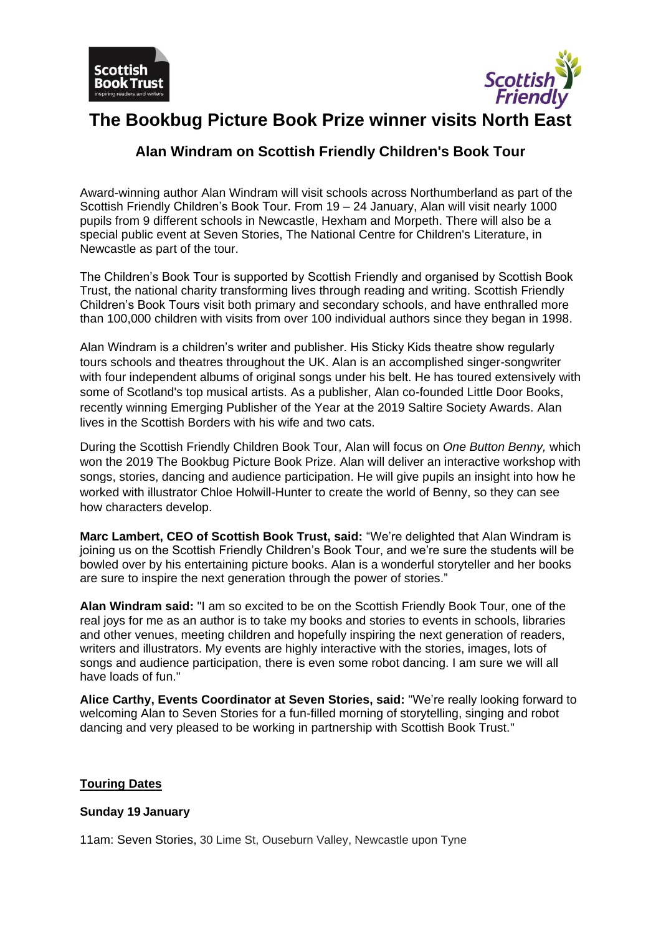



# **The Bookbug Picture Book Prize winner visits North East**

# **Alan Windram on Scottish Friendly Children's Book Tour**

Award-winning author Alan Windram will visit schools across Northumberland as part of the Scottish Friendly Children's Book Tour. From 19 – 24 January, Alan will visit nearly 1000 pupils from 9 different schools in Newcastle, Hexham and Morpeth. There will also be a special public event at Seven Stories, The National Centre for Children's Literature, in Newcastle as part of the tour.

The Children's Book Tour is supported by Scottish Friendly and organised by Scottish Book Trust, the national charity transforming lives through reading and writing. Scottish Friendly Children's Book Tours visit both primary and secondary schools, and have enthralled more than 100,000 children with visits from over 100 individual authors since they began in 1998.

Alan Windram is a children's writer and publisher. His Sticky Kids theatre show regularly tours schools and theatres throughout the UK. Alan is an accomplished singer-songwriter with four independent albums of original songs under his belt. He has toured extensively with some of Scotland's top musical artists. As a publisher, Alan co-founded Little Door Books, recently winning Emerging Publisher of the Year at the 2019 Saltire Society Awards. Alan lives in the Scottish Borders with his wife and two cats.

During the Scottish Friendly Children Book Tour, Alan will focus on *One Button Benny,* which won the 2019 The Bookbug Picture Book Prize. Alan will deliver an interactive workshop with songs, stories, dancing and audience participation. He will give pupils an insight into how he worked with illustrator Chloe Holwill-Hunter to create the world of Benny, so they can see how characters develop.

**Marc Lambert, CEO of Scottish Book Trust, said:** "We're delighted that Alan Windram is joining us on the Scottish Friendly Children's Book Tour, and we're sure the students will be bowled over by his entertaining picture books. Alan is a wonderful storyteller and her books are sure to inspire the next generation through the power of stories."

**Alan Windram said:** "I am so excited to be on the Scottish Friendly Book Tour, one of the real joys for me as an author is to take my books and stories to events in schools, libraries and other venues, meeting children and hopefully inspiring the next generation of readers, writers and illustrators. My events are highly interactive with the stories, images, lots of songs and audience participation, there is even some robot dancing. I am sure we will all have loads of fun."

**Alice Carthy, Events Coordinator at Seven Stories, said:** "We're really looking forward to welcoming Alan to Seven Stories for a fun-filled morning of storytelling, singing and robot dancing and very pleased to be working in partnership with Scottish Book Trust."

# **Touring Dates**

# **Sunday 19 January**

11am: Seven Stories, 30 Lime St, Ouseburn Valley, Newcastle upon Tyne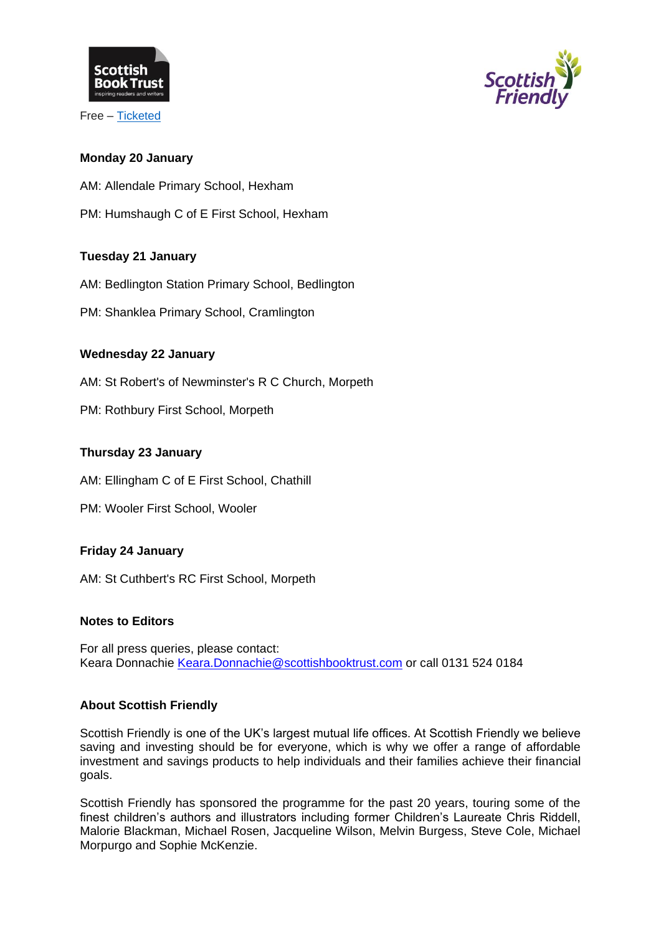

Free – [Ticketed](https://www.sevenstories.org.uk/whats-on/events/945/scottish-friendly-childrens-book-tour-with-alan-windram)



# **Monday 20 January**

AM: Allendale Primary School, Hexham

PM: Humshaugh C of E First School, Hexham

# **Tuesday 21 January**

AM: Bedlington Station Primary School, Bedlington

PM: Shanklea Primary School, Cramlington

# **Wednesday 22 January**

AM: St Robert's of Newminster's R C Church, Morpeth

PM: Rothbury First School, Morpeth

# **Thursday 23 January**

AM: Ellingham C of E First School, Chathill

PM: Wooler First School, Wooler

# **Friday 24 January**

AM: St Cuthbert's RC First School, Morpeth

# **Notes to Editors**

For all press queries, please contact: Keara Donnachie [Keara.Donnachie@scottishbooktrust.com](mailto:Keara.Donnachie@scottishbooktrust.com) or call 0131 524 0184

# **About Scottish Friendly**

Scottish Friendly is one of the UK's largest mutual life offices. At Scottish Friendly we believe saving and investing should be for everyone, which is why we offer a range of affordable investment and savings products to help individuals and their families achieve their financial goals.

Scottish Friendly has sponsored the programme for the past 20 years, touring some of the finest children's authors and illustrators including former Children's Laureate Chris Riddell, Malorie Blackman, Michael Rosen, Jacqueline Wilson, Melvin Burgess, Steve Cole, Michael Morpurgo and Sophie McKenzie.